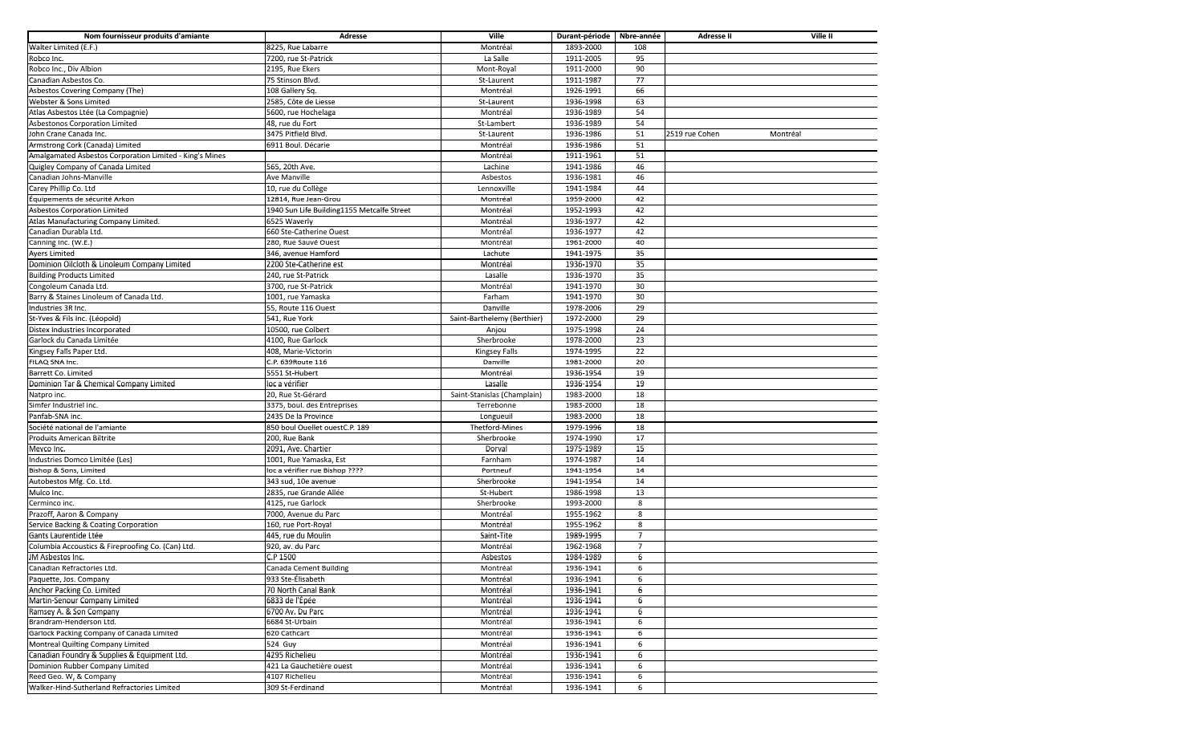| Nom fournisseur produits d'amiante                      | Adresse                                    | Ville                       | Durant-période Nbre-année |                | Adresse II     | Ville II |
|---------------------------------------------------------|--------------------------------------------|-----------------------------|---------------------------|----------------|----------------|----------|
| Walter Limited (E.F.)                                   | 8225, Rue Labarre                          | Montréal                    | 1893-2000                 | 108            |                |          |
| Robco Inc.                                              | 7200, rue St-Patrick                       | La Salle                    | 1911-2005                 | 95             |                |          |
| Robco Inc., Div Albion                                  | 2195, Rue Ekers                            | Mont-Royal                  | 1911-2000                 | 90             |                |          |
| Canadian Asbestos Co.                                   | 75 Stinson Blvd.                           | St-Laurent                  | 1911-1987                 | 77             |                |          |
| Asbestos Covering Company (The)                         | 108 Gallery Sq.                            | Montréal                    | 1926-1991                 | 66             |                |          |
| Webster & Sons Limited                                  | 2585, Côte de Liesse                       | St-Laurent                  | 1936-1998                 | 63             |                |          |
| Atlas Asbestos Ltée (La Compagnie)                      | 5600, rue Hochelaga                        | Montréal                    | 1936-1989                 | 54             |                |          |
| Asbestonos Corporation Limited                          | 48, rue du Fort                            | St-Lambert                  | 1936-1989                 | 54             |                |          |
| John Crane Canada Inc.                                  | 3475 Pitfield Blvd.                        | St-Laurent                  | 1936-1986                 | 51             | 2519 rue Cohen | Montréal |
| Armstrong Cork (Canada) Limited                         | 6911 Boul. Décarie                         | Montréal                    | 1936-1986                 | 51             |                |          |
| Amalgamated Asbestos Corporation Limited - King's Mines |                                            | Montréal                    | 1911-1961                 | 51             |                |          |
| Quigley Company of Canada Limited                       | 565, 20th Ave.                             | Lachine                     | 1941-1986                 | 46             |                |          |
| Canadian Johns-Manville                                 | Ave Manville                               | Asbestos                    | 1936-1981                 | 46             |                |          |
| Carey Phillip Co. Ltd                                   | 10, rue du Collège                         | Lennoxville                 | 1941-1984                 | 44             |                |          |
| Équipements de sécurité Arkon                           | 12814, Rue Jean-Grou                       | Montréal                    | 1959-2000                 | 42             |                |          |
| <b>Asbestos Corporation Limited</b>                     | 1940 Sun Life Building1155 Metcalfe Street | Montréal                    | 1952-1993                 | 42             |                |          |
| Atlas Manufacturing Company Limited.                    | 6525 Waverly                               | Montréal                    | 1936-1977                 | 42             |                |          |
| Canadian Durabla Ltd.                                   | 660 Ste-Catherine Ouest                    | Montréal                    | 1936-1977                 | 42             |                |          |
| Canning Inc. (W.E.)                                     | 280, Rue Sauvé Ouest                       | Montréal                    | 1961-2000                 | 40             |                |          |
| <b>Ayers Limited</b>                                    | 346, avenue Hamford                        | Lachute                     | 1941-1975                 | 35             |                |          |
| Dominion Oilcloth & Linoleum Company Limited            | 2200 Ste-Catherine est                     | Montréal                    | 1936-1970                 | 35             |                |          |
| <b>Building Products Limited</b>                        | 240, rue St-Patrick                        | Lasalle                     | 1936-1970                 | 35             |                |          |
| Congoleum Canada Ltd.                                   | 3700, rue St-Patrick                       | Montréal                    | 1941-1970                 | 30             |                |          |
| Barry & Staines Linoleum of Canada Ltd.                 | 1001, rue Yamaska                          | Farham                      | 1941-1970                 | 30             |                |          |
| Industries 3R Inc.                                      | 55, Route 116 Ouest                        | Danville                    | 1978-2006                 | 29             |                |          |
| St-Yves & Fils Inc. (Léopold)                           | 541, Rue York                              | Saint-Barthelemy (Berthier) | 1972-2000                 | 29             |                |          |
| Distex Industries Incorporated                          | 10500, rue Colbert                         | Anjou                       | 1975-1998                 | 24             |                |          |
| Garlock du Canada Limitée                               | 4100, Rue Garlock                          | Sherbrooke                  | 1978-2000                 | 23             |                |          |
| Kingsey Falls Paper Ltd.                                | 408, Marie-Victorin                        | Kingsey Falls               | 1974-1995                 | 22             |                |          |
| FILAQ SNA Inc.                                          | C.P. 639Route 116                          | Danville                    | 1981-2000                 | 20             |                |          |
| Barrett Co. Limited                                     | 5551 St-Hubert                             | Montréal                    | 1936-1954                 | 19             |                |          |
| Dominion Tar & Chemical Company Limited                 | loc a vérifier                             | Lasalle                     | 1936-1954                 | 19             |                |          |
| Natpro inc.                                             | 20, Rue St-Gérard                          | Saint-Stanislas (Champlain) | 1983-2000                 | 18             |                |          |
| Simfer Industriel inc.                                  | 3375, boul. des Entreprises                | Terrebonne                  | 1983-2000                 | 18             |                |          |
| Panfab-SNA inc.                                         | 2435 De la Province                        | Longueuil                   | 1983-2000                 | 18             |                |          |
| Société national de l'amiante                           | 850 boul Ouellet ouestC.P. 189             | <b>Thetford-Mines</b>       | 1979-1996                 | 18             |                |          |
| Produits American Biltrite                              | 200, Rue Bank                              | Sherbrooke                  | 1974-1990                 | 17             |                |          |
| Mevco Inc.                                              | 2091, Ave. Chartier                        | Dorval                      | 1975-1989                 | 15             |                |          |
| Industries Domco Limitée (Les)                          | 1001, Rue Yamaska, Est                     | Farnham                     | 1974-1987                 | 14             |                |          |
| Bishop & Sons, Limited                                  | loc a vérifier rue Bishop ????             | Portneuf                    | 1941-1954                 | 14             |                |          |
| Autobestos Mfg. Co. Ltd.                                | 343 sud, 10e avenue                        | Sherbrooke                  | 1941-1954                 | 14             |                |          |
| Mulco Inc.                                              | 2835, rue Grande Allée                     | St-Hubert                   | 1986-1998                 | 13             |                |          |
| Cerminco inc.                                           | 4125, rue Garlock                          | Sherbrooke                  | 1993-2000                 | 8              |                |          |
| Prazoff, Aaron & Company                                | 7000, Avenue du Parc                       | Montréal                    | 1955-1962                 | 8              |                |          |
| Service Backing & Coating Corporation                   | 160, rue Port-Royal                        | Montréal                    | 1955-1962                 | 8              |                |          |
| Gants Laurentide Ltée                                   | 445, rue du Moulin                         | Saint-Tite                  | 1989-1995                 | $\overline{7}$ |                |          |
| Columbia Accoustics & Fireproofing Co. (Can) Ltd.       | 920, av. du Parc                           | Montréal                    | 1962-1968                 | 7              |                |          |
| JM Asbestos Inc.                                        | C.P 1500                                   | Asbestos                    | 1984-1989                 | 6              |                |          |
| Canadian Refractories Ltd.                              | Canada Cement Building                     | Montreal                    | 1936-1941                 | 6              |                |          |
| Paquette, Jos. Company                                  | 933 Ste-Élisabeth                          | Montréal                    | 1936-1941                 | 6              |                |          |
| Anchor Packing Co. Limited                              | 70 North Canal Bank                        | Montréal                    | 1936-1941                 | 6              |                |          |
| Martin-Senour Company Limited                           | 6833 de l'Épée                             | Montréal                    | 1936-1941                 | 6              |                |          |
| Ramsey A. & Son Company                                 | 6700 Av. Du Parc                           | Montréal                    | 1936-1941                 | 6              |                |          |
| Brandram-Henderson Ltd.                                 | 6684 St-Urbain                             | Montréal                    | 1936-1941                 | 6              |                |          |
| Garlock Packing Company of Canada Limited               | 620 Cathcart                               | Montréal                    | 1936-1941                 | 6              |                |          |
| Montreal Quilting Company Limited                       | $\overline{52}4$ Guy                       | Montréal                    | 1936-1941                 | 6              |                |          |
| Canadian Foundry & Supplies & Equipment Ltd.            | 4295 Richelieu                             | Montréal                    | 1936-1941                 | 6              |                |          |
| Dominion Rubber Company Limited                         | 421 La Gauchetière ouest                   | Montréal                    | 1936-1941                 | 6              |                |          |
| Reed Geo. W, & Company                                  | 4107 Richelieu                             | Montréal                    | 1936-1941                 | 6              |                |          |
| Walker-Hind-Sutherland Refractories Limited             | 309 St-Ferdinand                           | Montréal                    | 1936-1941                 | 6              |                |          |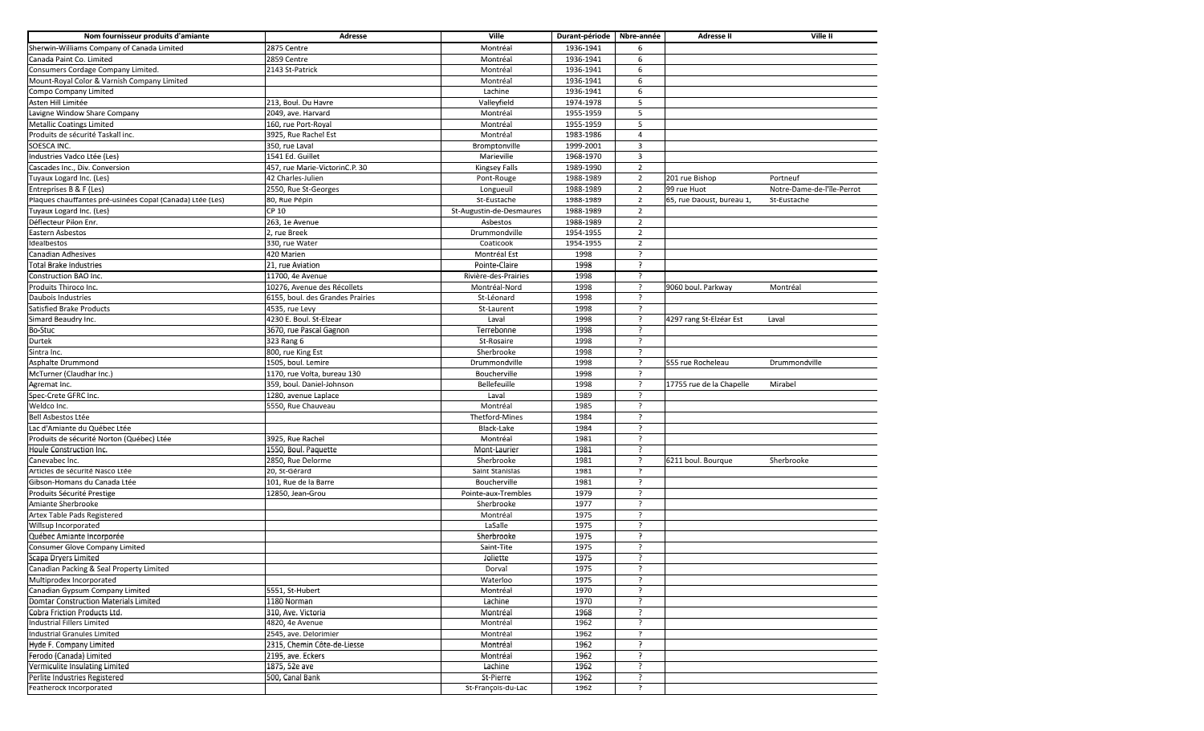| Nom fournisseur produits d'amiante                        | Adresse                          | Ville                    | Durant-période | Nbre-année               | Adresse II                | Ville II                   |
|-----------------------------------------------------------|----------------------------------|--------------------------|----------------|--------------------------|---------------------------|----------------------------|
| Sherwin-Williams Company of Canada Limited                | 2875 Centre                      | Montréal                 | 1936-1941      | 6                        |                           |                            |
| Canada Paint Co. Limited                                  | 2859 Centre                      | Montréal                 | 1936-1941      | 6                        |                           |                            |
| Consumers Cordage Company Limited.                        | 2143 St-Patrick                  | Montréal                 | 1936-1941      | 6                        |                           |                            |
| Mount-Royal Color & Varnish Company Limited               |                                  | Montréal                 | 1936-1941      | 6                        |                           |                            |
| Compo Company Limited                                     |                                  | Lachine                  | 1936-1941      | 6                        |                           |                            |
| Asten Hill Limitée                                        | 213, Boul. Du Havre              | Valleyfield              | 1974-1978      | 5                        |                           |                            |
| Lavigne Window Share Company                              | 2049, ave. Harvard               | Montréal                 | 1955-1959      | 5                        |                           |                            |
| <b>Metallic Coatings Limited</b>                          | 160, rue Port-Royal              | Montréal                 | 1955-1959      | 5                        |                           |                            |
| Produits de sécurité Taskall inc.                         | 3925, Rue Rachel Est             | Montréal                 | 1983-1986      | $\overline{4}$           |                           |                            |
| SOESCA INC.                                               | 350, rue Laval                   | Bromptonville            | 1999-2001      | 3                        |                           |                            |
| Industries Vadco Ltée (Les)                               | 1541 Ed. Guillet                 | Marieville               | 1968-1970      | 3                        |                           |                            |
| Cascades Inc., Div. Conversion                            | 457, rue Marie-VictorinC.P. 30   | Kingsey Falls            | 1989-1990      | $\overline{2}$           |                           |                            |
| Tuyaux Logard Inc. (Les)                                  | 42 Charles-Julien                | Pont-Rouge               | 1988-1989      | $\overline{2}$           | 201 rue Bishop            | Portneuf                   |
| Entreprises B & F (Les)                                   | 2550, Rue St-Georges             | Longueuil                | 1988-1989      | $\overline{2}$           | 99 rue Huot               | Notre-Dame-de-l'ïle-Perrot |
| Plaques chauffantes pré-usinées Copal (Canada) Ltée (Les) | 80, Rue Pépin                    | St-Eustache              | 1988-1989      | $\overline{2}$           | 65, rue Daoust, bureau 1, | St-Eustache                |
| Tuyaux Logard Inc. (Les)                                  | CP 10                            | St-Augustin-de-Desmaures | 1988-1989      | $\overline{2}$           |                           |                            |
| Déflecteur Pilon Enr.                                     | 263, 1e Avenue                   | Asbestos                 | 1988-1989      | $\overline{2}$           |                           |                            |
| Eastern Asbestos                                          | 2, rue Breek                     | Drummondville            | 1954-1955      | $\overline{2}$           |                           |                            |
| Idealbestos                                               | 330, rue Water                   | Coaticook                | 1954-1955      | $\overline{2}$           |                           |                            |
| Canadian Adhesives                                        | 420 Marien                       | Montréal Est             | 1998           | $\overline{?}$           |                           |                            |
| <b>Total Brake Industries</b>                             | 21, rue Aviation                 | Pointe-Claire            | 1998           | $\overline{\phantom{a}}$ |                           |                            |
| Construction BAO Inc.                                     | 11700, 4e Avenue                 | Rivière-des-Prairies     | 1998           | 2                        |                           |                            |
| Produits Thiroco Inc.                                     | 10276, Avenue des Récollets      | Montréal-Nord            | 1998           | ?                        | 9060 boul. Parkway        | Montréal                   |
| Daubois Industries                                        | 6155, boul. des Grandes Prairies | St-Léonard               | 1998           | ?                        |                           |                            |
| Satisfied Brake Products                                  | 4535, rue Levy                   | St-Laurent               | 1998           | $\cdot$                  |                           |                            |
| Simard Beaudry Inc.                                       | 4230 E. Boul. St-Elzear          | Laval                    | 1998           |                          | 4297 rang St-Elzéar Est   | Laval                      |
| Bo-Stuc                                                   | 3670, rue Pascal Gagnon          | Terrebonne               | 1998           | $\overline{\phantom{a}}$ |                           |                            |
| Durtek                                                    | 323 Rang 6                       | St-Rosaire               | 1998           |                          |                           |                            |
| Sintra Inc.                                               | 800, rue King Est                | Sherbrooke               | 1998           |                          |                           |                            |
| Asphalte Drummond                                         | 1505, boul. Lemire               | Drummondville            | 1998           | $\overline{\phantom{a}}$ | 555 rue Rocheleau         | Drummondville              |
| McTurner (Claudhar Inc.)                                  | 1170, rue Volta, bureau 130      | Boucherville             | 1998           | $\overline{?}$           |                           |                            |
| Agremat Inc.                                              | 359, boul. Daniel-Johnson        | Bellefeuille             | 1998           | ?                        | 17755 rue de la Chapelle  | Mirabel                    |
| Spec-Crete GFRC Inc.                                      | 1280, avenue Laplace             | Laval                    | 1989           |                          |                           |                            |
| Weldco Inc.                                               | 5550, Rue Chauveau               | Montréal                 | 1985           |                          |                           |                            |
| Bell Asbestos Ltée                                        |                                  | Thetford-Mines           | 1984           | 2                        |                           |                            |
| Lac d'Amiante du Québec Ltée                              |                                  | Black-Lake               | 1984           | P                        |                           |                            |
| Produits de sécurité Norton (Québec) Ltée                 | 3925, Rue Rachel                 | Montréal                 | 1981           | 3                        |                           |                            |
| Houle Construction Inc.                                   | 1550, Boul. Paquette             | Mont-Laurier             | 1981           | ?                        |                           |                            |
| Canevabec Inc.                                            | 2850, Rue Delorme                | Sherbrooke               | 1981           |                          | 6211 boul. Bourque        | Sherbrooke                 |
| Articles de sécurité Nasco Ltée                           | 20, St-Gérard                    | Saint Stanislas          | 1981           | ?                        |                           |                            |
| Gibson-Homans du Canada Ltée                              | 101, Rue de la Barre             | Boucherville             | 1981           | $\cdot$                  |                           |                            |
| Produits Sécurité Prestige                                | 12850, Jean-Grou                 | Pointe-aux-Trembles      | 1979           | $\overline{?}$           |                           |                            |
| Amiante Sherbrooke                                        |                                  | Sherbrooke               | 1977           | $\overline{?}$           |                           |                            |
| Artex Table Pads Registered                               |                                  | Montréal                 | 1975           | $\cdot$                  |                           |                            |
| Willsup Incorporated                                      |                                  | LaSalle                  | 1975           | $\overline{?}$           |                           |                            |
| Québec Amiante Incorporée                                 |                                  | Sherbrooke               | 1975           | $\overline{\phantom{a}}$ |                           |                            |
| Consumer Glove Company Limited                            |                                  | Saint-Tite               | 1975           | 2                        |                           |                            |
| Scapa Dryers Limited                                      |                                  | Joliette                 | 1975           |                          |                           |                            |
| Canadian Packing & Seal Property Limited                  |                                  | Dorval                   | 1975           |                          |                           |                            |
| Multiprodex Incorporated                                  |                                  | Waterloo                 | 1975           | $\overline{?}$           |                           |                            |
| Canadian Gypsum Company Limited                           | 5551, St-Hubert                  | Montréal                 | 1970           | $\overline{\phantom{a}}$ |                           |                            |
| <b>Domtar Construction Materials Limited</b>              | 1180 Norman                      | Lachine                  | 1970           | $\overline{\phantom{a}}$ |                           |                            |
| Cobra Friction Products Ltd.                              | 310, Ave. Victoria               | Montréal                 | 1968           |                          |                           |                            |
| Industrial Fillers Limited                                | 4820, 4e Avenue                  | Montréal                 | 1962           | ?                        |                           |                            |
| Industrial Granules Limited                               | 2545, ave. Delorimier            | Montréal                 | 1962           | 7                        |                           |                            |
| Hyde F. Company Limited                                   | 2315, Chemin Côte-de-Liesse      | Montréal                 | 1962           | ?                        |                           |                            |
| Ferodo (Canada) Limited                                   | 2195, ave. Eckers                | Montréal                 | 1962           | ?                        |                           |                            |
| Vermiculite Insulating Limited                            | 1875, 52e ave                    | Lachine                  | 1962           |                          |                           |                            |
| Perlite Industries Registered                             | 500, Canal Bank                  | St-Pierre                | 1962           |                          |                           |                            |
| Featherock Incorporated                                   |                                  | St-François-du-Lac       | 1962           | ?                        |                           |                            |
|                                                           |                                  |                          |                |                          |                           |                            |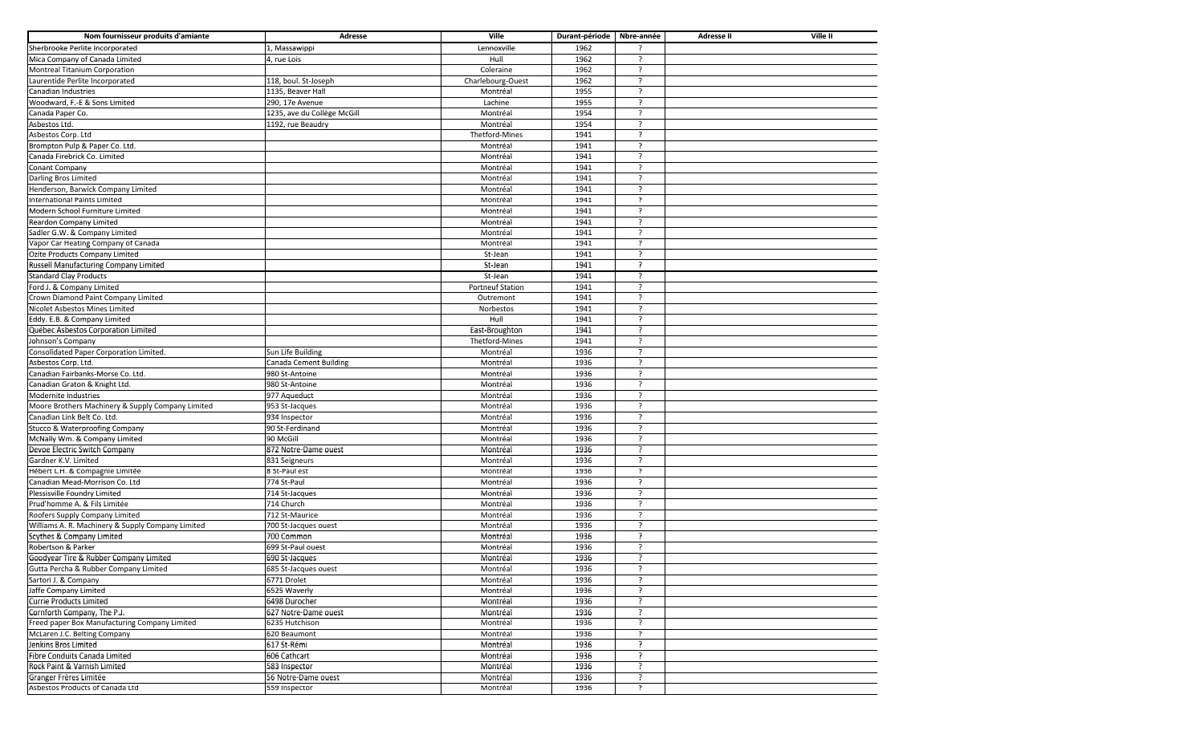| Nom fournisseur produits d'amiante                            | Adresse                     | Ville                   | Durant-période      | Nbre-année               | Ville II<br>Adresse II |
|---------------------------------------------------------------|-----------------------------|-------------------------|---------------------|--------------------------|------------------------|
| Sherbrooke Perlite Incorporated                               | 1, Massawippi               | Lennoxville             | 1962                |                          |                        |
| Mica Company of Canada Limited                                | 4, rue Lois                 | Hull                    | 1962                | $\overline{ }$           |                        |
| Montreal Titanium Corporation                                 |                             | Coleraine               | 1962                | $\overline{\phantom{a}}$ |                        |
| Laurentide Perlite Incorporated                               | 118, boul. St-Joseph        | Charlebourg-Ouest       | 1962                | $\overline{\phantom{a}}$ |                        |
| Canadian Industries                                           | 1135, Beaver Hall           | Montréal                | 1955                |                          |                        |
| Woodward, F.-E & Sons Limited                                 | 290, 17e Avenue             | Lachine                 | 1955                | $\overline{\phantom{a}}$ |                        |
| Canada Paper Co.                                              | 1235, ave du Collège McGill | Montréal                | 1954                | $\overline{\phantom{a}}$ |                        |
| Asbestos Ltd.                                                 | 1192, rue Beaudry           | Montréal                | 1954                |                          |                        |
| Asbestos Corp. Ltd                                            |                             | Thetford-Mines          | 1941                | -2                       |                        |
| Brompton Pulp & Paper Co. Ltd.                                |                             | Montréal                | 1941                |                          |                        |
| Canada Firebrick Co. Limited                                  |                             | Montréal                | 1941                | $\overline{?}$           |                        |
| Conant Company                                                |                             | Montréal                | 1941                |                          |                        |
| Darling Bros Limited                                          |                             | Montréal                | 1941                | ?                        |                        |
| Henderson, Barwick Company Limited                            |                             | Montréal                | 1941                | 2                        |                        |
| International Paints Limited                                  |                             | Montréal                | 1941                | ?                        |                        |
| Modern School Furniture Limited                               |                             | Montréal                | 1941                | $\overline{\phantom{a}}$ |                        |
| Reardon Company Limited                                       |                             | Montréal                | 1941                | $\cdot$                  |                        |
| Sadler G.W. & Company Limited                                 |                             | Montréal                | 1941                | $\overline{?}$           |                        |
| Vapor Car Heating Company of Canada                           |                             | Montréal                | 1941                | $\overline{?}$           |                        |
| Ozite Products Company Limited                                |                             | St-Jean                 | 1941                | $\overline{?}$           |                        |
| Russell Manufacturing Company Limited                         |                             | St-Jean                 | 1941                | 7                        |                        |
| <b>Standard Clay Products</b>                                 |                             | St-Jean                 | 1941                | -2                       |                        |
| Ford J. & Company Limited                                     |                             | <b>Portneuf Station</b> | 1941                | $\overline{?}$           |                        |
| Crown Diamond Paint Company Limited                           |                             | Outremont               | 1941                | $\overline{\phantom{a}}$ |                        |
| Nicolet Asbestos Mines Limited                                |                             | Norbestos               | 1941                | $\overline{\phantom{a}}$ |                        |
| Eddy. E.B. & Company Limited                                  |                             | Hull                    | 1941                | -2                       |                        |
| Québec Asbestos Corporation Limited                           |                             | East-Broughton          | 1941                | $\overline{?}$           |                        |
| Johnson's Company                                             |                             | Thetford-Mines          | 1941                | -2                       |                        |
| Consolidated Paper Corporation Limited.                       | Sun Life Building           | Montréal                | 1936                | 7                        |                        |
| Asbestos Corp. Ltd.                                           | Canada Cement Building      | Montréal                | 1936                | $\overline{\phantom{a}}$ |                        |
| Canadian Fairbanks-Morse Co. Ltd.                             | 980 St-Antoine              | Montréal                | 1936                | ?                        |                        |
| Canadian Graton & Knight Ltd.                                 | 980 St-Antoine              | Montréal                | 1936                | ?                        |                        |
| Modernite Industries                                          | 977 Aqueduct                | Montréal                | 1936                | $\overline{z}$           |                        |
| Moore Brothers Machinery & Supply Company Limited             | 953 St-Jacques              | Montréal                | 1936                |                          |                        |
| Canadian Link Belt Co. Ltd.                                   | 934 Inspector               | Montréal                | 1936                | $\cdot$                  |                        |
| Stucco & Waterproofing Company                                | 90 St-Ferdinand             | Montréal                | 1936                | 2                        |                        |
| McNally Wm. & Company Limited                                 | 90 McGill                   | Montréal                | 1936                | $\overline{ }$           |                        |
| Devoe Electric Switch Company                                 | 872 Notre-Dame ouest        | Montréal                | 1936                |                          |                        |
| Gardner K.V. Limited                                          | 831 Seigneurs               | Montréal                | 1936                |                          |                        |
| Hébert L.H. & Compagnie Limitée                               | 8 St-Paul est               | Montréal                | 1936                | ?                        |                        |
| Canadian Mead-Morrison Co. Ltd                                | 774 St-Paul                 | Montréal                | 1936                | $\overline{ }$           |                        |
| Plessisville Foundry Limited                                  | 714 St-Jacques              | Montréal                | 1936                | -2                       |                        |
| Prud'homme A. & Fils Limitée                                  | 714 Church                  | Montréal                | 1936                | -2                       |                        |
| Roofers Supply Company Limited                                | 712 St-Maurice              | Montréal                | 1936                | -2                       |                        |
| Williams A. R. Machinery & Supply Company Limited             | 700 St-Jacques ouest        | Montréal                | 1936                | $\overline{\phantom{a}}$ |                        |
| Scythes & Company Limited                                     | 700 Common                  | Montréal                | 1936                | ?                        |                        |
| Robertson & Parker                                            | 699 St-Paul ouest           | Montréal                | 1936                | -2                       |                        |
| Goodyear Tire & Rubber Company Limited                        | 690 St-Jacques              | Montréal                | 1936                |                          |                        |
|                                                               | 685 St-Jacques ouest        | Montreal                |                     |                          |                        |
| Gutta Percha & Rubber Company Limited<br>Sartori J. & Company | 6771 Drolet                 | Montréal                | <b>TA30</b><br>1936 | $\overline{?}$           |                        |
| Jaffe Company Limited                                         | 6525 Waverly                | Montréal                | 1936                | 2                        |                        |
| Currie Products Limited                                       | 6498 Durocher               | Montréal                | 1936                | $\overline{?}$           |                        |
| Cornforth Company, The P.J.                                   | 627 Notre-Dame ouest        | Montréal                | 1936                |                          |                        |
| Freed paper Box Manufacturing Company Limited                 | 6235 Hutchison              | Montréal                | 1936                | ?                        |                        |
| McLaren J.C. Belting Company                                  | 620 Beaumont                | Montréal                | 1936                | ?                        |                        |
| Jenkins Bros Limited                                          | 617 St-Rémi                 | Montréal                | 1936                | $\overline{\phantom{a}}$ |                        |
| Fibre Conduits Canada Limited                                 | 606 Cathcart                | Montréal                | 1936                | -2                       |                        |
| Rock Paint & Varnish Limited                                  | 583 Inspector               | Montréal                | 1936                | -2                       |                        |
|                                                               |                             |                         | 1936                | -2                       |                        |
| Granger Frères Limitée<br>Asbestos Products of Canada Ltd     | 56 Notre-Dame ouest         | Montréal                | 1936                | $\overline{?}$           |                        |
|                                                               | 559 Inspector               | Montréal                |                     |                          |                        |